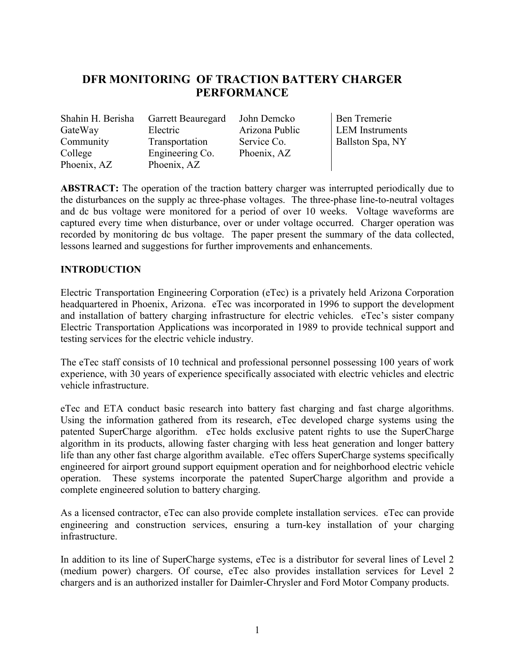# **DFR MONITORING OF TRACTION BATTERY CHARGER PERFORMANCE**

Shahin H. Berisha Garrett Beauregard John Demcko Ben Tremerie GateWay Community College Phoenix, AZ

Electric Transportation Engineering Co. Phoenix, AZ

Arizona Public Service Co. Phoenix, AZ

LEM Instruments Ballston Spa, NY

**ABSTRACT:** The operation of the traction battery charger was interrupted periodically due to the disturbances on the supply ac three-phase voltages. The three-phase line-to-neutral voltages and dc bus voltage were monitored for a period of over 10 weeks. Voltage waveforms are captured every time when disturbance, over or under voltage occurred. Charger operation was recorded by monitoring dc bus voltage. The paper present the summary of the data collected, lessons learned and suggestions for further improvements and enhancements.

## **INTRODUCTION**

Electric Transportation Engineering Corporation (eTec) is a privately held Arizona Corporation headquartered in Phoenix, Arizona. eTec was incorporated in 1996 to support the development and installation of battery charging infrastructure for electric vehicles. eTec's sister company Electric Transportation Applications was incorporated in 1989 to provide technical support and testing services for the electric vehicle industry.

The eTec staff consists of 10 technical and professional personnel possessing 100 years of work experience, with 30 years of experience specifically associated with electric vehicles and electric vehicle infrastructure.

eTec and ETA conduct basic research into battery fast charging and fast charge algorithms. Using the information gathered from its research, eTec developed charge systems using the patented SuperCharge algorithm. eTec holds exclusive patent rights to use the SuperCharge algorithm in its products, allowing faster charging with less heat generation and longer battery life than any other fast charge algorithm available. eTec offers SuperCharge systems specifically engineered for airport ground support equipment operation and for neighborhood electric vehicle operation. These systems incorporate the patented SuperCharge algorithm and provide a complete engineered solution to battery charging.

As a licensed contractor, eTec can also provide complete installation services. eTec can provide engineering and construction services, ensuring a turn-key installation of your charging infrastructure.

In addition to its line of SuperCharge systems, eTec is a distributor for several lines of Level 2 (medium power) chargers. Of course, eTec also provides installation services for Level 2 chargers and is an authorized installer for Daimler-Chrysler and Ford Motor Company products.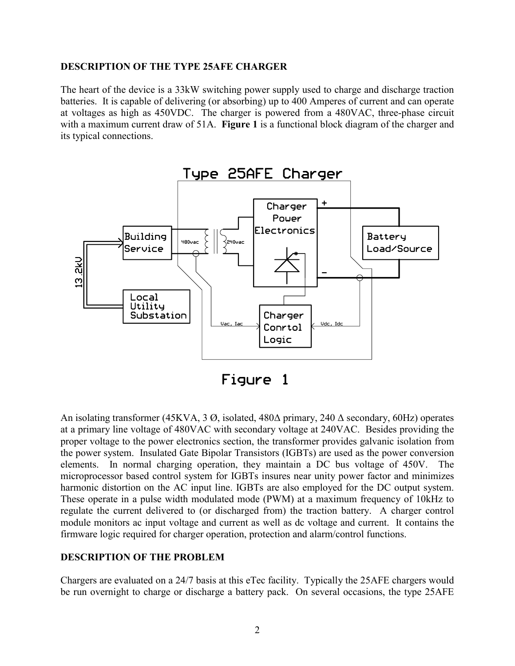## **DESCRIPTION OF THE TYPE 25AFE CHARGER**

The heart of the device is a 33kW switching power supply used to charge and discharge traction batteries. It is capable of delivering (or absorbing) up to 400 Amperes of current and can operate at voltages as high as 450VDC. The charger is powered from a 480VAC, three-phase circuit with a maximum current draw of 51A. **Figure 1** is a functional block diagram of the charger and its typical connections.



An isolating transformer (45KVA, 3 Ø, isolated, 480∆ primary, 240 ∆ secondary, 60Hz) operates at a primary line voltage of 480VAC with secondary voltage at 240VAC. Besides providing the proper voltage to the power electronics section, the transformer provides galvanic isolation from the power system. Insulated Gate Bipolar Transistors (IGBTs) are used as the power conversion elements. In normal charging operation, they maintain a DC bus voltage of 450V. The microprocessor based control system for IGBTs insures near unity power factor and minimizes harmonic distortion on the AC input line. IGBTs are also employed for the DC output system. These operate in a pulse width modulated mode (PWM) at a maximum frequency of 10kHz to regulate the current delivered to (or discharged from) the traction battery. A charger control module monitors ac input voltage and current as well as dc voltage and current. It contains the firmware logic required for charger operation, protection and alarm/control functions.

## **DESCRIPTION OF THE PROBLEM**

Chargers are evaluated on a 24/7 basis at this eTec facility. Typically the 25AFE chargers would be run overnight to charge or discharge a battery pack. On several occasions, the type 25AFE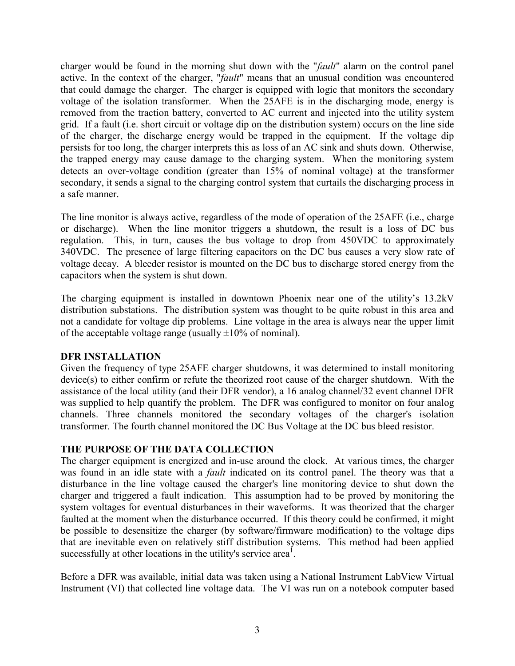charger would be found in the morning shut down with the "*fault*" alarm on the control panel active. In the context of the charger, "*fault*" means that an unusual condition was encountered that could damage the charger. The charger is equipped with logic that monitors the secondary voltage of the isolation transformer. When the 25AFE is in the discharging mode, energy is removed from the traction battery, converted to AC current and injected into the utility system grid. If a fault (i.e. short circuit or voltage dip on the distribution system) occurs on the line side of the charger, the discharge energy would be trapped in the equipment. If the voltage dip persists for too long, the charger interprets this as loss of an AC sink and shuts down. Otherwise, the trapped energy may cause damage to the charging system. When the monitoring system detects an over-voltage condition (greater than 15% of nominal voltage) at the transformer secondary, it sends a signal to the charging control system that curtails the discharging process in a safe manner.

The line monitor is always active, regardless of the mode of operation of the 25AFE (i.e., charge or discharge). When the line monitor triggers a shutdown, the result is a loss of DC bus regulation. This, in turn, causes the bus voltage to drop from 450VDC to approximately 340VDC. The presence of large filtering capacitors on the DC bus causes a very slow rate of voltage decay. A bleeder resistor is mounted on the DC bus to discharge stored energy from the capacitors when the system is shut down.

The charging equipment is installed in downtown Phoenix near one of the utility's 13.2kV distribution substations. The distribution system was thought to be quite robust in this area and not a candidate for voltage dip problems. Line voltage in the area is always near the upper limit of the acceptable voltage range (usually  $\pm 10\%$  of nominal).

## **DFR INSTALLATION**

Given the frequency of type 25AFE charger shutdowns, it was determined to install monitoring device(s) to either confirm or refute the theorized root cause of the charger shutdown. With the assistance of the local utility (and their DFR vendor), a 16 analog channel/32 event channel DFR was supplied to help quantify the problem. The DFR was configured to monitor on four analog channels. Three channels monitored the secondary voltages of the charger's isolation transformer. The fourth channel monitored the DC Bus Voltage at the DC bus bleed resistor.

## **THE PURPOSE OF THE DATA COLLECTION**

The charger equipment is energized and in-use around the clock. At various times, the charger was found in an idle state with a *fault* indicated on its control panel. The theory was that a disturbance in the line voltage caused the charger's line monitoring device to shut down the charger and triggered a fault indication. This assumption had to be proved by monitoring the system voltages for eventual disturbances in their waveforms. It was theorized that the charger faulted at the moment when the disturbance occurred. If this theory could be confirmed, it might be possible to desensitize the charger (by software/firmware modification) to the voltage dips that are inevitable even on relatively stiff distribution systems. This method had been applied successfully at other locations in the utility's service area<sup>1</sup>.

Before a DFR was available, initial data was taken using a National Instrument LabView Virtual Instrument (VI) that collected line voltage data. The VI was run on a notebook computer based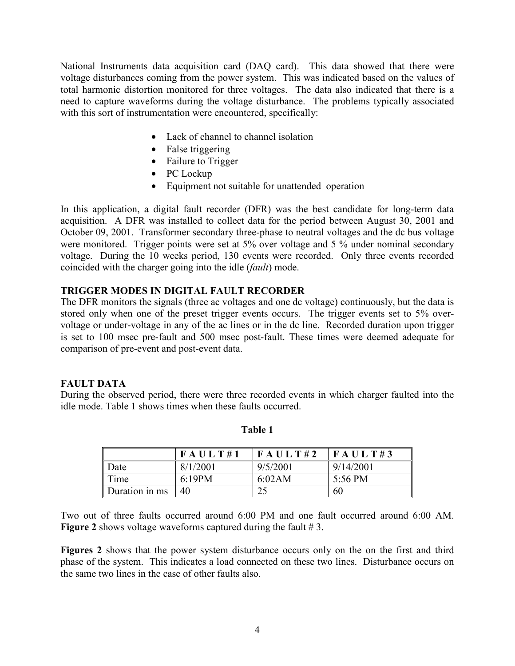National Instruments data acquisition card (DAQ card). This data showed that there were voltage disturbances coming from the power system. This was indicated based on the values of total harmonic distortion monitored for three voltages. The data also indicated that there is a need to capture waveforms during the voltage disturbance. The problems typically associated with this sort of instrumentation were encountered, specifically:

- Lack of channel to channel isolation
- False triggering
- Failure to Trigger
- PC Lockup
- Equipment not suitable for unattended operation

In this application, a digital fault recorder (DFR) was the best candidate for long-term data acquisition. A DFR was installed to collect data for the period between August 30, 2001 and October 09, 2001. Transformer secondary three-phase to neutral voltages and the dc bus voltage were monitored. Trigger points were set at 5% over voltage and 5 % under nominal secondary voltage. During the 10 weeks period, 130 events were recorded. Only three events recorded coincided with the charger going into the idle (*fault*) mode.

## **TRIGGER MODES IN DIGITAL FAULT RECORDER**

The DFR monitors the signals (three ac voltages and one dc voltage) continuously, but the data is stored only when one of the preset trigger events occurs. The trigger events set to 5% overvoltage or under-voltage in any of the ac lines or in the dc line. Recorded duration upon trigger is set to 100 msec pre-fault and 500 msec post-fault. These times were deemed adequate for comparison of pre-event and post-event data.

## **FAULT DATA**

During the observed period, there were three recorded events in which charger faulted into the idle mode. Table 1 shows times when these faults occurred.

|                | FAULT#1  | FAULT#2  | FAULT#3   |
|----------------|----------|----------|-----------|
| Date           | 8/1/2001 | 9/5/2001 | 9/14/2001 |
| Time           | 6:19PM   | 6:02AM   | 5:56 PM   |
| Duration in ms | 40       |          | 60        |

**Table 1** 

Two out of three faults occurred around 6:00 PM and one fault occurred around 6:00 AM. **Figure 2** shows voltage waveforms captured during the fault  $# 3$ .

Figures 2 shows that the power system disturbance occurs only on the on the first and third phase of the system. This indicates a load connected on these two lines. Disturbance occurs on the same two lines in the case of other faults also.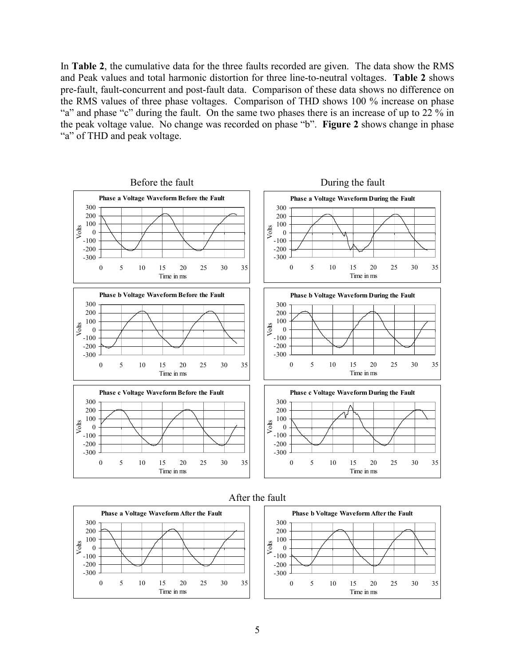In **Table 2**, the cumulative data for the three faults recorded are given. The data show the RMS and Peak values and total harmonic distortion for three line-to-neutral voltages. **Table 2** shows pre-fault, fault-concurrent and post-fault data. Comparison of these data shows no difference on the RMS values of three phase voltages. Comparison of THD shows 100 % increase on phase "a" and phase "c" during the fault. On the same two phases there is an increase of up to 22 % in the peak voltage value. No change was recorded on phase "b". **Figure 2** shows change in phase "a" of THD and peak voltage.







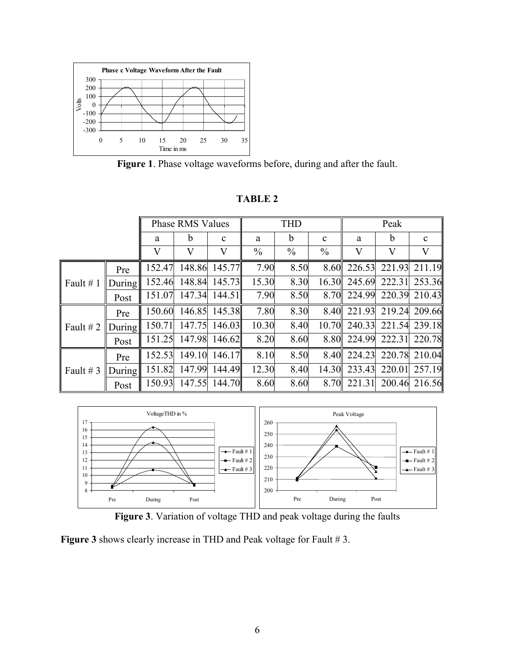

**Figure 1**. Phase voltage waveforms before, during and after the fault.

|             |               | <b>Phase RMS Values</b> |        | <b>THD</b>    |               |               | Peak          |         |         |               |
|-------------|---------------|-------------------------|--------|---------------|---------------|---------------|---------------|---------|---------|---------------|
|             |               | a                       | b      | $\mathbf{c}$  | a             | b             | $\mathbf c$   | a       | b       | $\mathbf{c}$  |
|             |               | V                       | V      | V             | $\frac{0}{0}$ | $\frac{0}{0}$ | $\frac{0}{0}$ | $\rm V$ | $\rm V$ | V             |
| Fault $# 1$ | Pre           | 152.47                  | 148.86 | 145.77        | 7.90          | 8.50          | 8.60          | 226.53  | 221.93  | 211.19        |
|             | <b>During</b> | 152.46                  | 148.84 | 145.73        | 15.30         | 8.30          | 16.30         | 245.69  | 222.31  | 253.36        |
|             | Post          | 151.07                  | 147.34 | 144.51        | 7.90          | 8.50          | 8.70          | 224.99  | 220.39  | 210.43        |
| Fault $# 2$ | Pre           | 150.60                  |        | 146.85 145.38 | 7.80          | 8.30          | 8.40          | 221.93  | 219.24  | 209.66        |
|             | <b>During</b> | 150.71                  | 147.75 | 146.03        | 10.30         | 8.40          | 10.70         | 240.33  | 221.54  | 239.18        |
|             | Post          | 151.25                  | 147.98 | 146.62        | 8.20          | 8.60          | 8.80          | 224.99  | 222.31  | 220.78        |
| Fault # 3   | Pre           | 152.53                  | 149.10 | 146.17        | 8.10          | 8.50          | 8.40          | 224.23  | 220.78  | 210.04        |
|             | <b>During</b> | 151.82                  | 147.99 | 144.49        | 12.30         | 8.40          | 14.30         | 233.43  | 220.01  | 257.19        |
|             | Post          | 150.93                  | 147.55 | 144.70        | 8.60          | 8.60          | 8.70          | 221.31  |         | 200.46 216.56 |

**TABLE 2** 





**Figure 3** shows clearly increase in THD and Peak voltage for Fault # 3.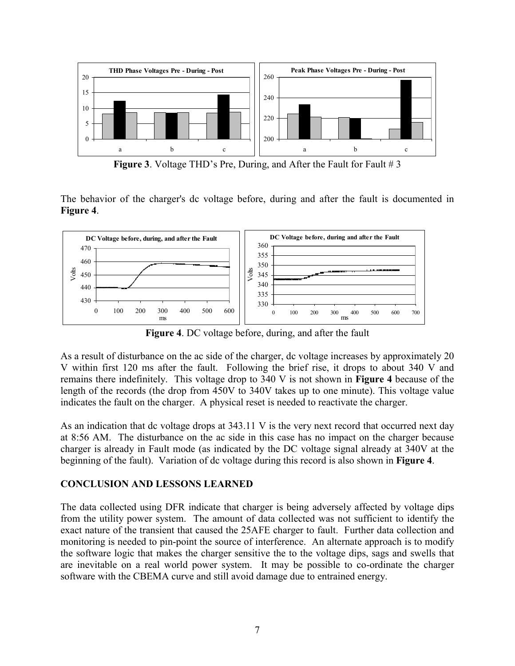

**Figure 3**. Voltage THD's Pre, During, and After the Fault for Fault # 3

The behavior of the charger's dc voltage before, during and after the fault is documented in **Figure 4**.



**Figure 4**. DC voltage before, during, and after the fault

As a result of disturbance on the ac side of the charger, dc voltage increases by approximately 20 V within first 120 ms after the fault. Following the brief rise, it drops to about 340 V and remains there indefinitely. This voltage drop to 340 V is not shown in **Figure 4** because of the length of the records (the drop from 450V to 340V takes up to one minute). This voltage value indicates the fault on the charger. A physical reset is needed to reactivate the charger.

As an indication that dc voltage drops at 343.11 V is the very next record that occurred next day at 8:56 AM. The disturbance on the ac side in this case has no impact on the charger because charger is already in Fault mode (as indicated by the DC voltage signal already at 340V at the beginning of the fault). Variation of dc voltage during this record is also shown in **Figure 4**.

## **CONCLUSION AND LESSONS LEARNED**

The data collected using DFR indicate that charger is being adversely affected by voltage dips from the utility power system. The amount of data collected was not sufficient to identify the exact nature of the transient that caused the 25AFE charger to fault. Further data collection and monitoring is needed to pin-point the source of interference. An alternate approach is to modify the software logic that makes the charger sensitive the to the voltage dips, sags and swells that are inevitable on a real world power system. It may be possible to co-ordinate the charger software with the CBEMA curve and still avoid damage due to entrained energy.